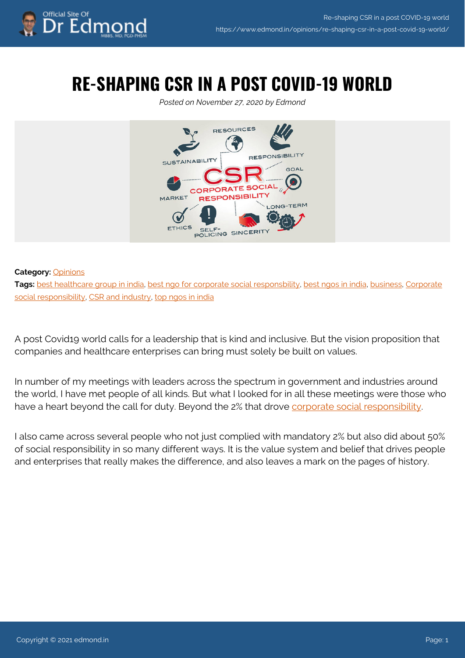

## **RE-SHAPING CSR IN A POST COVID-19 WORLD**

*Posted on November 27, 2020 by Edmond*



## **Category:** [Opinions](https://www.edmond.in/category/opinions/)

Tags: [best healthcare group in india](https://www.edmond.in/tag/best-healthcare-group-in-india/), [best ngo for corporate social responsbility,](https://www.edmond.in/tag/best-ngo-for-corporate-social-responsbility/) [best ngos in india](https://www.edmond.in/tag/best-ngos-in-india/), [business,](https://www.edmond.in/tag/business/) [Corporate](https://www.edmond.in/tag/corporate-social-responsibility/) [social responsibility](https://www.edmond.in/tag/corporate-social-responsibility/), [CSR and industry](https://www.edmond.in/tag/csr-and-industry/), [top ngos in india](https://www.edmond.in/tag/top-ngos-in-india/)

A post Covid19 world calls for a leadership that is kind and inclusive. But the vision proposition that companies and healthcare enterprises can bring must solely be built on values.

In number of my meetings with leaders across the spectrum in government and industries around the world, I have met people of all kinds. But what I looked for in all these meetings were those who have a heart beyond the call for duty. Beyond the 2% that drove [corporate social responsibility.](https://www.linkedin.com/company/chdgroup/?viewAsMember=true)

I also came across several people who not just complied with mandatory 2% but also did about 50% of social responsibility in so many different ways. It is the value system and belief that drives people and enterprises that really makes the difference, and also leaves a mark on the pages of history.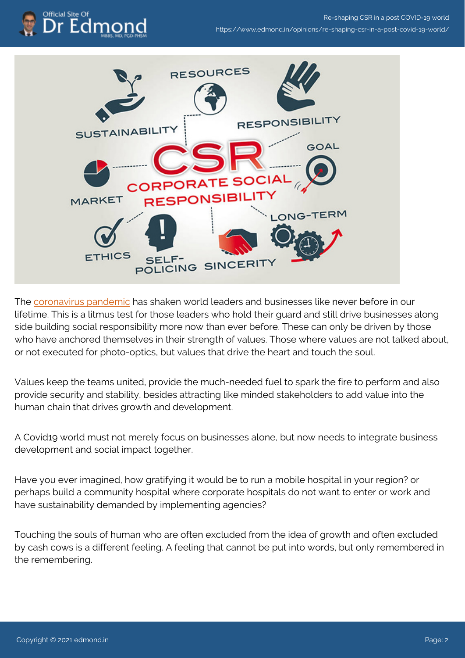



The [coronavirus pandemic](https://www.chdgroup.org/policies/mainstreaming-social-protection-amidst-cascading-risks/) has shaken world leaders and businesses like never before in our lifetime. This is a litmus test for those leaders who hold their guard and still drive businesses along side building social responsibility more now than ever before. These can only be driven by those who have anchored themselves in their strength of values. Those where values are not talked about, or not executed for photo-optics, but values that drive the heart and touch the soul.

Values keep the teams united, provide the much-needed fuel to spark the fire to perform and also provide security and stability, besides attracting like minded stakeholders to add value into the human chain that drives growth and development.

A Covid19 world must not merely focus on businesses alone, but now needs to integrate business development and social impact together.

Have you ever imagined, how gratifying it would be to run a mobile hospital in your region? or perhaps build a community hospital where corporate hospitals do not want to enter or work and have sustainability demanded by implementing agencies?

Touching the souls of human who are often excluded from the idea of growth and often excluded by cash cows is a different feeling. A feeling that cannot be put into words, but only remembered in the remembering.